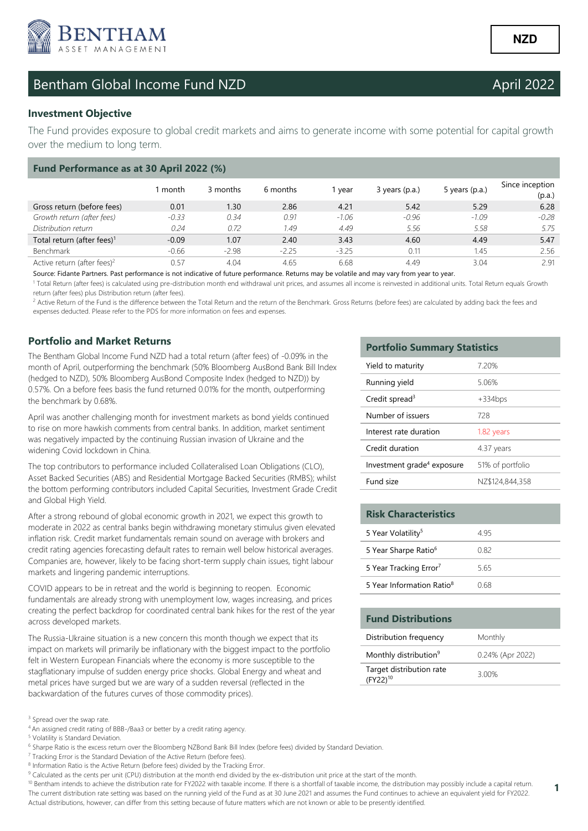

## Bentham Global Income Fund NZD **Bentham Global Income Fund NZD**

## **Investment Objective**

The Fund provides exposure to global credit markets and aims to generate income with some potential for capital growth over the medium to long term.

| Fund Performance as at 30 April 2022 (%) |         |          |          |         |                |                  |                           |  |
|------------------------------------------|---------|----------|----------|---------|----------------|------------------|---------------------------|--|
|                                          | month   | 3 months | 6 months | year    | 3 years (p.a.) | 5 years $(p.a.)$ | Since inception<br>(p.a.) |  |
| Gross return (before fees)               | 0.01    | 1.30     | 2.86     | 4.21    | 5.42           | 5.29             | 6.28                      |  |
| Growth return (after fees)               | $-0.33$ | 0.34     | 0.91     | $-1.06$ | $-0.96$        | $-1.09$          | $-0.28$                   |  |
| Distribution return                      | 0.24    | 0.72     | 1.49     | 4.49    | 5.56           | 5.58             | 5.75                      |  |
| Total return (after fees) <sup>1</sup>   | $-0.09$ | 1.07     | 2.40     | 3.43    | 4.60           | 4.49             | 5.47                      |  |
| Benchmark                                | $-0.66$ | $-2.98$  | $-2.25$  | $-3.25$ | 0.11           | 1.45             | 2.56                      |  |
| Active return (after fees) <sup>2</sup>  | 0.57    | 4.04     | 4.65     | 6.68    | 4.49           | 3.04             | 2.91                      |  |

Source: Fidante Partners. Past performance is not indicative of future performance. Returns may be volatile and may vary from year to year.

<sup>1</sup> Total Return (after fees) is calculated using pre-distribution month end withdrawal unit prices, and assumes all income is reinvested in additional units. Total Return equals Growth return (after fees) plus Distribution return (after fees).

<sup>2</sup> Active Return of the Fund is the difference between the Total Return and the return of the Benchmark. Gross Returns (before fees) are calculated by adding back the fees and expenses deducted. Please refer to the PDS for more information on fees and expenses.

## **Portfolio and Market Returns**

The Bentham Global Income Fund NZD had a total return (after fees) of -0.09% in the month of April, outperforming the benchmark (50% Bloomberg AusBond Bank Bill Index (hedged to NZD), 50% Bloomberg AusBond Composite Index (hedged to NZD)) by 0.57%. On a before fees basis the fund returned 0.01% for the month, outperforming the benchmark by 0.68%.

April was another challenging month for investment markets as bond yields continued to rise on more hawkish comments from central banks. In addition, market sentiment was negatively impacted by the continuing Russian invasion of Ukraine and the widening Covid lockdown in China.

The top contributors to performance included Collateralised Loan Obligations (CLO), Asset Backed Securities (ABS) and Residential Mortgage Backed Securities (RMBS); whilst the bottom performing contributors included Capital Securities, Investment Grade Credit and Global High Yield.

After a strong rebound of global economic growth in 2021, we expect this growth to moderate in 2022 as central banks begin withdrawing monetary stimulus given elevated inflation risk. Credit market fundamentals remain sound on average with brokers and credit rating agencies forecasting default rates to remain well below historical averages. Companies are, however, likely to be facing short-term supply chain issues, tight labour markets and lingering pandemic interruptions.

COVID appears to be in retreat and the world is beginning to reopen. Economic fundamentals are already strong with unemployment low, wages increasing, and prices creating the perfect backdrop for coordinated central bank hikes for the rest of the year across developed markets.

The Russia-Ukraine situation is a new concern this month though we expect that its impact on markets will primarily be inflationary with the biggest impact to the portfolio felt in Western European Financials where the economy is more susceptible to the stagflationary impulse of sudden energy price shocks. Global Energy and wheat and metal prices have surged but we are wary of a sudden reversal (reflected in the backwardation of the futures curves of those commodity prices).

<sup>4</sup>An assigned credit rating of BBB-/Baa3 or better by a credit rating agency.

- <sup>7</sup> Tracking Error is the Standard Deviation of the Active Return (before fees).
- <sup>8</sup> Information Ratio is the Active Return (before fees) divided by the Tracking Error.
- <sup>9</sup> Calculated as the cents per unit (CPU) distribution at the month end divided by the ex-distribution unit price at the start of the month.
- <sup>10</sup> Bentham intends to achieve the distribution rate for FY2022 with taxable income. If there is a shortfall of taxable income, the distribution may possibly include a capital return. The current distribution rate setting was based on the running yield of the Fund as at 30 June 2021 and assumes the Fund continues to achieve an equivalent yield for FY2022. Actual distributions, however, can differ from this setting because of future matters which are not known or able to be presently identified.

### **Portfolio Summary Statistics**

| Yield to maturity                      | 7.20%            |
|----------------------------------------|------------------|
| Running yield                          | 5.06%            |
| Credit spread <sup>3</sup>             | $+334$ bps       |
| Number of issuers                      | 728              |
| Interest rate duration                 | 1.82 years       |
| Credit duration                        | 4.37 years       |
| Investment grade <sup>4</sup> exposure | 51% of portfolio |
| Fund size                              | NZ\$124,844,358  |

| <b>Risk Characteristics</b>           |      |
|---------------------------------------|------|
| 5 Year Volatility <sup>5</sup>        | 4 95 |
| 5 Year Sharpe Ratio <sup>6</sup>      | O 82 |
| 5 Year Tracking Error <sup>7</sup>    | 5 65 |
| 5 Year Information Ratio <sup>8</sup> | N 68 |

### **Fund Distributions**

| Distribution frequency                    | Monthly          |
|-------------------------------------------|------------------|
| Monthly distribution <sup>9</sup>         | 0.24% (Apr 2022) |
| Target distribution rate<br>$(FY22)^{10}$ | 3.00%            |

**1** 

<sup>&</sup>lt;sup>3</sup> Spread over the swap rate.

<sup>5</sup> Volatility is Standard Deviation.

<sup>&</sup>lt;sup>6</sup> Sharpe Ratio is the excess return over the Bloomberg NZBond Bank Bill Index (before fees) divided by Standard Deviation.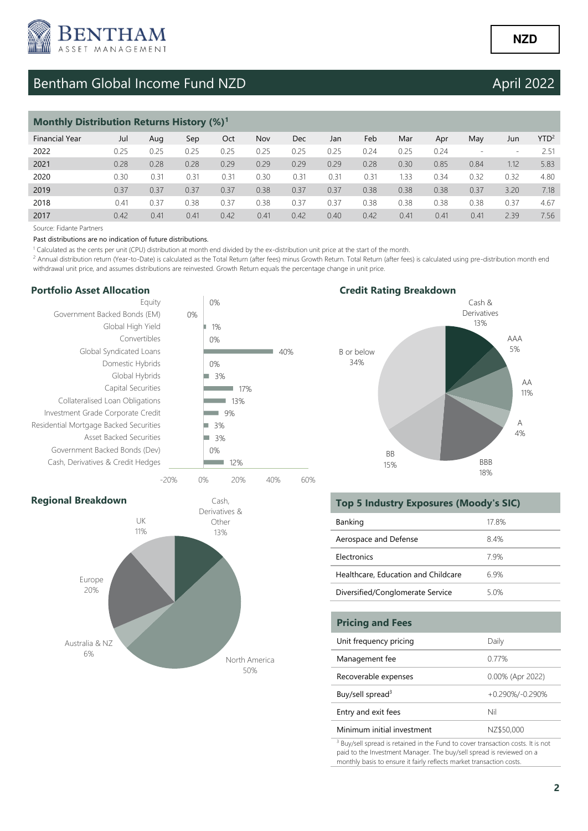

# Bentham Global Income Fund NZD April 2022

| <b>Monthly Distribution Returns History (%)</b> |      |      |      |      |      |      |      |      |      |      |      |                          |                  |
|-------------------------------------------------|------|------|------|------|------|------|------|------|------|------|------|--------------------------|------------------|
| <b>Financial Year</b>                           | Jul  | Aug  | Sep  | Oct  | Nov  | Dec  | Jan  | Feb  | Mar  | Apr  | May  | Jun                      | YTD <sup>2</sup> |
| 2022                                            | 0.25 | 0.25 | 0.25 | 0.25 | 0.25 | 0.25 | 0.25 | 0.24 | 0.25 | 0.24 |      | $\overline{\phantom{a}}$ | 2.51             |
| 2021                                            | 0.28 | 0.28 | 0.28 | 0.29 | 0.29 | 0.29 | 0.29 | 0.28 | 0.30 | 0.85 | 0.84 | 1.12                     | 5.83             |
| 2020                                            | 0.30 | 0.31 | 0.31 | 0.31 | 0.30 | 0.31 | 0.31 | 0.31 | 1.33 | 0.34 | 0.32 | 0.32                     | 4.80             |
| 2019                                            | 0.37 | 0.37 | 0.37 | 0.37 | 0.38 | 0.37 | 0.37 | 0.38 | 0.38 | 0.38 | 0.37 | 3.20                     | 7.18             |
| 2018                                            | 0.41 | 0.37 | 0.38 | 0.37 | 0.38 | 0.37 | 0.37 | 0.38 | 0.38 | 0.38 | 0.38 | 0.37                     | 4.67             |
| 2017                                            | 0.42 | 0.41 | 0.41 | 0.42 | 0.41 | 0.42 | 0.40 | 0.42 | 0.41 | 0.41 | 0.41 | 2.39                     | 7.56             |

Source: Fidante Partners

#### Past distributions are no indication of future distributions.

<sup>1</sup> Calculated as the cents per unit (CPU) distribution at month end divided by the ex-distribution unit price at the start of the month.

50%

<sup>2</sup> Annual distribution return (Year-to-Date) is calculated as the Total Return (after fees) minus Growth Return. Total Return (after fees) is calculated using pre-distribution month end withdrawal unit price, and assumes distributions are reinvested. Growth Return equals the percentage change in unit price.

### **Portfolio Asset Allocation**



## **Credit Rating Breakdown**



## Cash, Derivatives & Other 13% North America Australia & NZ 6% Europe 20% UK 11% **Regional Breakdown**

## **Top 5 Industry Exposures (Moody's SIC)**

| Banking                             | 17.8% |
|-------------------------------------|-------|
| Aerospace and Defense               | 84%   |
| <b>Flectronics</b>                  | 79%   |
| Healthcare, Education and Childcare | 69%   |
| Diversified/Conglomerate Service    | 5.0%  |

| <b>Pricing and Fees</b>      |                  |
|------------------------------|------------------|
| Unit frequency pricing       | Daily            |
| Management fee               | 0.77%            |
| Recoverable expenses         | 0.00% (Apr 2022) |
| Buy/sell spread <sup>3</sup> | +0.290%/-0.290%  |
| Entry and exit fees          | Nil              |
| Minimum initial investment   | NZ\$50,000       |

<sup>3</sup> Buy/sell spread is retained in the Fund to cover transaction costs. It is not paid to the Investment Manager. The buy/sell spread is reviewed on a monthly basis to ensure it fairly reflects market transaction costs.